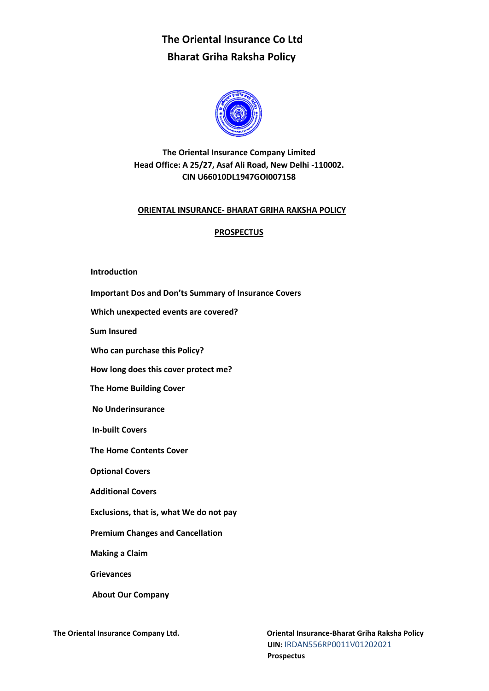

**The Oriental Insurance Company Limited Head Office: A 25/27, Asaf Ali Road, New Delhi -110002. CIN U66010DL1947GOI007158**

#### **ORIENTAL INSURANCE- BHARAT GRIHA RAKSHA POLICY**

#### **PROSPECTUS**

#### **Introduction**

**Important Dos and Don'ts Summary of Insurance Covers** 

**Which unexpected events are covered?** 

**Sum Insured** 

**Who can purchase this Policy?** 

**How long does this cover protect me?** 

**The Home Building Cover**

**No Underinsurance**

**In-built Covers** 

**The Home Contents Cover** 

**Optional Covers** 

**Additional Covers** 

**Exclusions, that is, what We do not pay** 

**Premium Changes and Cancellation** 

**Making a Claim**

**Grievances**

**About Our Company** 

**The Oriental Insurance Company Ltd. Oriental Insurance-Bharat Griha Raksha Policy UIN:** IRDAN556RP0011V01202021 **Prospectus**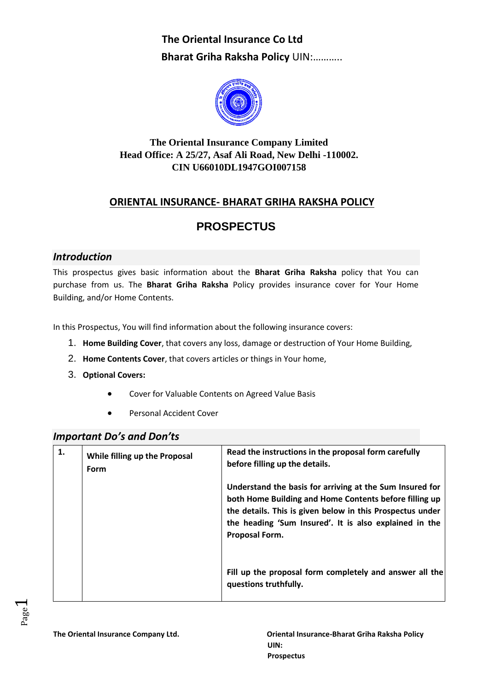

## **The Oriental Insurance Company Limited Head Office: A 25/27, Asaf Ali Road, New Delhi -110002. CIN U66010DL1947GOI007158**

## **ORIENTAL INSURANCE- BHARAT GRIHA RAKSHA POLICY**

## **PROSPECTUS**

### *Introduction*

This prospectus gives basic information about the **Bharat Griha Raksha** policy that You can purchase from us. The **Bharat Griha Raksha** Policy provides insurance cover for Your Home Building, and/or Home Contents.

In this Prospectus, You will find information about the following insurance covers:

- 1. **Home Building Cover**, that covers any loss, damage or destruction of Your Home Building,
- 2. **Home Contents Cover**, that covers articles or things in Your home,
- 3. **Optional Covers:** 
	- Cover for Valuable Contents on Agreed Value Basis
	- Personal Accident Cover

### *Important Do's and Don'ts*

| 1. | While filling up the Proposal<br>Form | Read the instructions in the proposal form carefully<br>before filling up the details.                                                                                                                                                                      |
|----|---------------------------------------|-------------------------------------------------------------------------------------------------------------------------------------------------------------------------------------------------------------------------------------------------------------|
|    |                                       | Understand the basis for arriving at the Sum Insured for<br>both Home Building and Home Contents before filling up<br>the details. This is given below in this Prospectus under<br>the heading 'Sum Insured'. It is also explained in the<br>Proposal Form. |
|    |                                       | Fill up the proposal form completely and answer all the<br>questions truthfully.                                                                                                                                                                            |

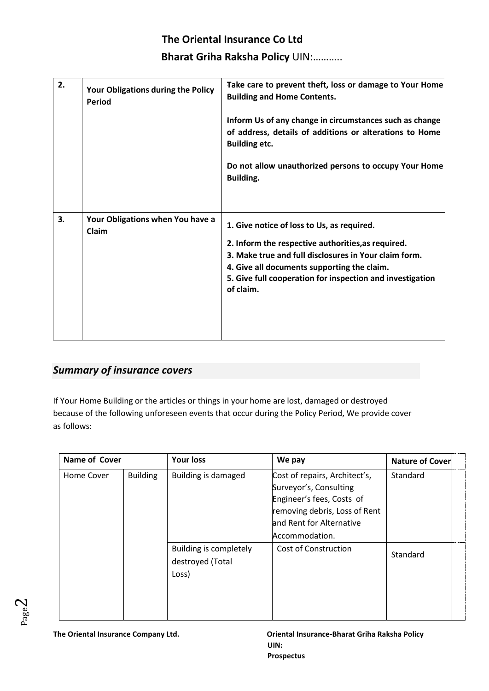## **The Oriental Insurance Co Ltd**

## **Bharat Griha Raksha Policy** UIN:………..

| 2. | Your Obligations during the Policy<br>Period | Take care to prevent theft, loss or damage to Your Home<br><b>Building and Home Contents.</b>                                                                                                                                                                                      |
|----|----------------------------------------------|------------------------------------------------------------------------------------------------------------------------------------------------------------------------------------------------------------------------------------------------------------------------------------|
|    |                                              | Inform Us of any change in circumstances such as change<br>of address, details of additions or alterations to Home<br><b>Building etc.</b>                                                                                                                                         |
|    |                                              | Do not allow unauthorized persons to occupy Your Home<br>Building.                                                                                                                                                                                                                 |
| 3. | Your Obligations when You have a<br>Claim    | 1. Give notice of loss to Us, as required.<br>2. Inform the respective authorities, as required.<br>3. Make true and full disclosures in Your claim form.<br>4. Give all documents supporting the claim.<br>5. Give full cooperation for inspection and investigation<br>of claim. |

## *Summary of insurance covers*

If Your Home Building or the articles or things in your home are lost, damaged or destroyed because of the following unforeseen events that occur during the Policy Period, We provide cover as follows:

| Name of Cover |                 | <b>Your loss</b>                                    | We pay                                                                                                                                                              | Nature of Cover |
|---------------|-----------------|-----------------------------------------------------|---------------------------------------------------------------------------------------------------------------------------------------------------------------------|-----------------|
| Home Cover    | <b>Building</b> | Building is damaged                                 | Cost of repairs, Architect's,<br>Surveyor's, Consulting<br>Engineer's fees, Costs of<br>removing debris, Loss of Rent<br>and Rent for Alternative<br>Accommodation. | Standard        |
|               |                 | Building is completely<br>destroyed (Total<br>Loss) | Cost of Construction                                                                                                                                                | Standard        |

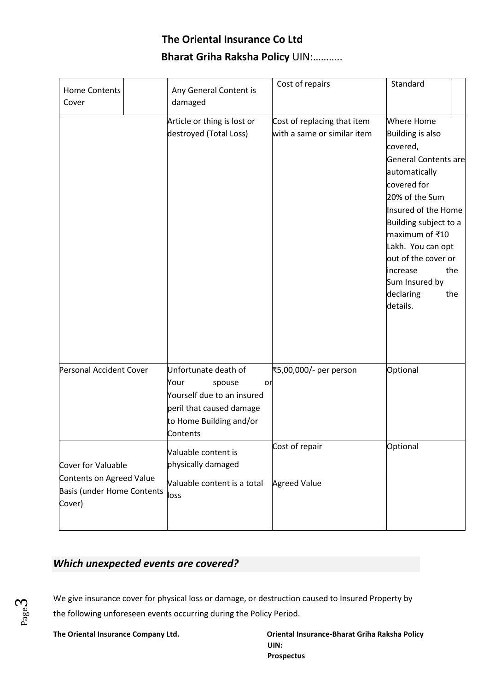| <b>Home Contents</b><br>Cover                                                          | Any General Content is<br>damaged                                                                                                             | Cost of repairs                                            | Standard                                                                                                                                                                                                                                                                                                |
|----------------------------------------------------------------------------------------|-----------------------------------------------------------------------------------------------------------------------------------------------|------------------------------------------------------------|---------------------------------------------------------------------------------------------------------------------------------------------------------------------------------------------------------------------------------------------------------------------------------------------------------|
|                                                                                        | Article or thing is lost or<br>destroyed (Total Loss)                                                                                         | Cost of replacing that item<br>with a same or similar item | Where Home<br>Building is also<br>covered,<br>General Contents are<br>automatically<br>covered for<br>20% of the Sum<br>Insured of the Home<br>Building subject to a<br>maximum of ₹10<br>Lakh. You can opt<br>out of the cover or<br>the<br>increase<br>Sum Insured by<br>declaring<br>the<br>details. |
| Personal Accident Cover                                                                | Unfortunate death of<br>Your<br>spouse<br>or<br>Yourself due to an insured<br>peril that caused damage<br>to Home Building and/or<br>Contents | ₹5,00,000/- per person                                     | Optional                                                                                                                                                                                                                                                                                                |
| Cover for Valuable<br>Contents on Agreed Value<br>Basis (under Home Contents<br>Cover) | Valuable content is<br>physically damaged<br>Valuable content is a total<br>loss                                                              | Cost of repair<br><b>Agreed Value</b>                      | Optional                                                                                                                                                                                                                                                                                                |

## *Which unexpected events are covered?*

We give insurance cover for physical loss or damage, or destruction caused to Insured Property by the following unforeseen events occurring during the Policy Period.

Page ო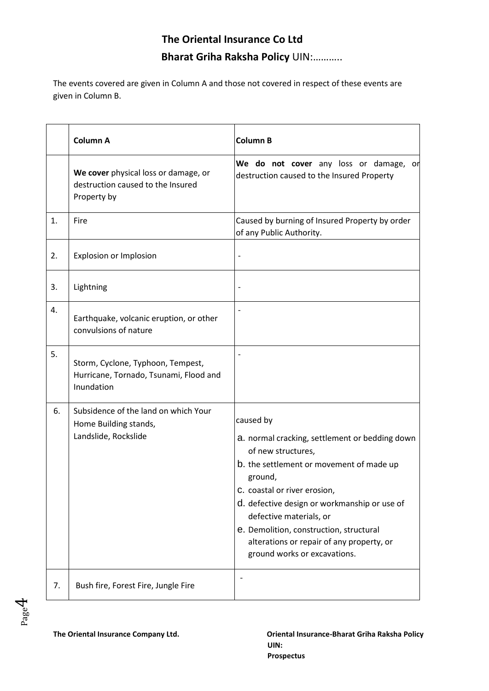The events covered are given in Column A and those not covered in respect of these events are given in Column B.

|    | <b>Column A</b>                                                                           | <b>Column B</b>                                                                                                                                                                                                                                                                                                                                                             |
|----|-------------------------------------------------------------------------------------------|-----------------------------------------------------------------------------------------------------------------------------------------------------------------------------------------------------------------------------------------------------------------------------------------------------------------------------------------------------------------------------|
|    | We cover physical loss or damage, or<br>destruction caused to the Insured<br>Property by  | We do not cover any loss or damage,<br>or<br>destruction caused to the Insured Property                                                                                                                                                                                                                                                                                     |
| 1. | Fire                                                                                      | Caused by burning of Insured Property by order<br>of any Public Authority.                                                                                                                                                                                                                                                                                                  |
| 2. | <b>Explosion or Implosion</b>                                                             |                                                                                                                                                                                                                                                                                                                                                                             |
| 3. | Lightning                                                                                 |                                                                                                                                                                                                                                                                                                                                                                             |
| 4. | Earthquake, volcanic eruption, or other<br>convulsions of nature                          |                                                                                                                                                                                                                                                                                                                                                                             |
| 5. | Storm, Cyclone, Typhoon, Tempest,<br>Hurricane, Tornado, Tsunami, Flood and<br>Inundation |                                                                                                                                                                                                                                                                                                                                                                             |
| 6. | Subsidence of the land on which Your<br>Home Building stands,<br>Landslide, Rockslide     | caused by<br>a. normal cracking, settlement or bedding down<br>of new structures,<br>b. the settlement or movement of made up<br>ground,<br>C. coastal or river erosion,<br>d. defective design or workmanship or use of<br>defective materials, or<br>e. Demolition, construction, structural<br>alterations or repair of any property, or<br>ground works or excavations. |
| 7. | Bush fire, Forest Fire, Jungle Fire                                                       |                                                                                                                                                                                                                                                                                                                                                                             |

Page 4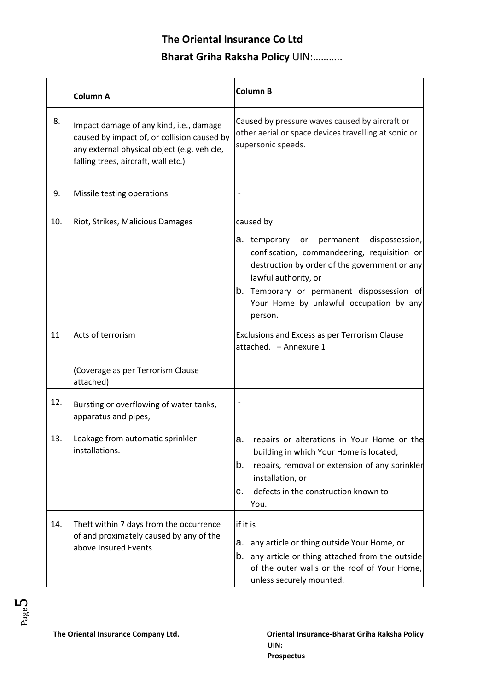|     | <b>Column A</b>                                                                                                                                                              | <b>Column B</b>                                                                                                                                                                                                                                                            |
|-----|------------------------------------------------------------------------------------------------------------------------------------------------------------------------------|----------------------------------------------------------------------------------------------------------------------------------------------------------------------------------------------------------------------------------------------------------------------------|
| 8.  | Impact damage of any kind, i.e., damage<br>caused by impact of, or collision caused by<br>any external physical object (e.g. vehicle,<br>falling trees, aircraft, wall etc.) | Caused by pressure waves caused by aircraft or<br>other aerial or space devices travelling at sonic or<br>supersonic speeds.                                                                                                                                               |
| 9.  | Missile testing operations                                                                                                                                                   |                                                                                                                                                                                                                                                                            |
| 10. | Riot, Strikes, Malicious Damages                                                                                                                                             | caused by                                                                                                                                                                                                                                                                  |
|     |                                                                                                                                                                              | dispossession,<br>a. temporary or<br>permanent<br>confiscation, commandeering, requisition or<br>destruction by order of the government or any<br>lawful authority, or<br>b. Temporary or permanent dispossession of<br>Your Home by unlawful occupation by any<br>person. |
| 11  | Acts of terrorism                                                                                                                                                            | Exclusions and Excess as per Terrorism Clause<br>attached. - Annexure 1                                                                                                                                                                                                    |
|     | (Coverage as per Terrorism Clause<br>attached)                                                                                                                               |                                                                                                                                                                                                                                                                            |
| 12. | Bursting or overflowing of water tanks,<br>apparatus and pipes,                                                                                                              |                                                                                                                                                                                                                                                                            |
| 13. | Leakage from automatic sprinkler<br>installations.                                                                                                                           | repairs or alterations in Your Home or the<br>a.<br>building in which Your Home is located,<br>b.<br>repairs, removal or extension of any sprinkler<br>installation, or<br>defects in the construction known to<br>c.<br>You.                                              |
| 14. | Theft within 7 days from the occurrence<br>of and proximately caused by any of the<br>above Insured Events.                                                                  | if it is<br>any article or thing outside Your Home, or<br>a.<br>b. any article or thing attached from the outside<br>of the outer walls or the roof of Your Home,<br>unless securely mounted.                                                                              |

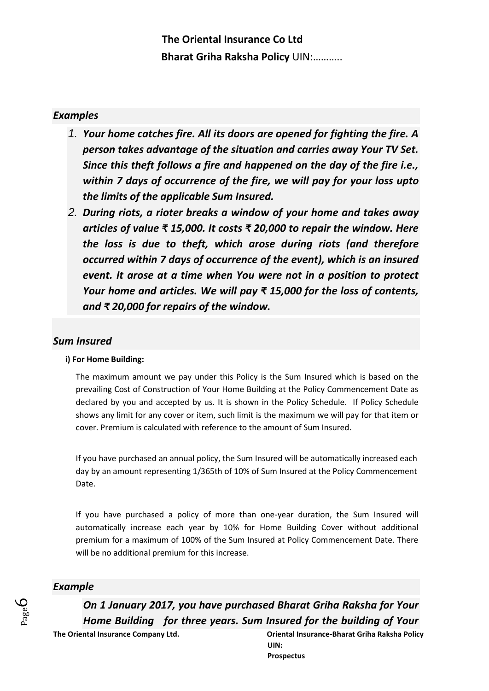#### *Examples*

- *1. Your home catches fire. All its doors are opened for fighting the fire. A person takes advantage of the situation and carries away Your TV Set. Since this theft follows a fire and happened on the day of the fire i.e., within 7 days of occurrence of the fire, we will pay for your loss upto the limits of the applicable Sum Insured.*
- *2. During riots, a rioter breaks a window of your home and takes away articles of value ₹ 15,000. It costs ₹ 20,000 to repair the window. Here the loss is due to theft, which arose during riots (and therefore occurred within 7 days of occurrence of the event), which is an insured event. It arose at a time when You were not in a position to protect Your home and articles. We will pay ₹ 15,000 for the loss of contents, and ₹ 20,000 for repairs of the window.*

#### *Sum Insured*

#### **i) For Home Building:**

The maximum amount we pay under this Policy is the Sum Insured which is based on the prevailing Cost of Construction of Your Home Building at the Policy Commencement Date as declared by you and accepted by us. It is shown in the Policy Schedule. If Policy Schedule shows any limit for any cover or item, such limit is the maximum we will pay for that item or cover. Premium is calculated with reference to the amount of Sum Insured.

If you have purchased an annual policy, the Sum Insured will be automatically increased each day by an amount representing 1/365th of 10% of Sum Insured at the Policy Commencement Date.

If you have purchased a policy of more than one-year duration, the Sum Insured will automatically increase each year by 10% for Home Building Cover without additional premium for a maximum of 100% of the Sum Insured at Policy Commencement Date. There will be no additional premium for this increase.

#### *Example*

*On 1 January 2017, you have purchased Bharat Griha Raksha for Your Home Building for three years. Sum Insured for the building of Your* 

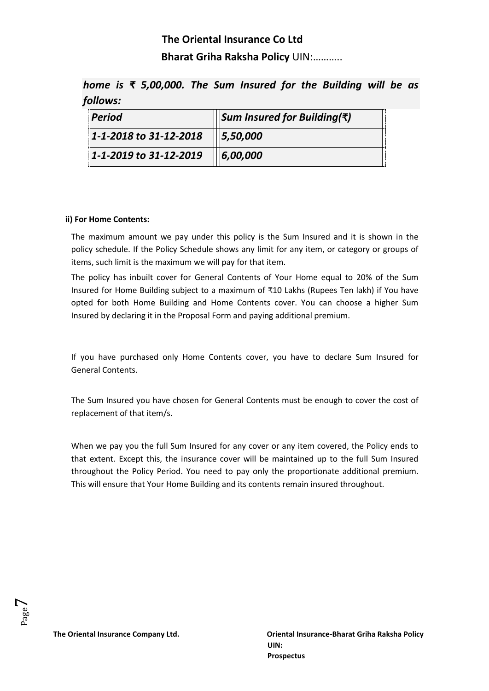## *home is ₹ 5,00,000. The Sum Insured for the Building will be as follows:*

| Period                      | Sum Insured for Building(₹) |
|-----------------------------|-----------------------------|
| 1-1-2018 to 31-12-2018      | 5,50,000                    |
| $\ $ 1-1-2019 to 31-12-2019 | 6,00,000                    |

#### **ii) For Home Contents:**

The maximum amount we pay under this policy is the Sum Insured and it is shown in the policy schedule. If the Policy Schedule shows any limit for any item, or category or groups of items, such limit is the maximum we will pay for that item.

The policy has inbuilt cover for General Contents of Your Home equal to 20% of the Sum Insured for Home Building subject to a maximum of ₹10 Lakhs (Rupees Ten lakh) if You have opted for both Home Building and Home Contents cover. You can choose a higher Sum Insured by declaring it in the Proposal Form and paying additional premium.

If you have purchased only Home Contents cover, you have to declare Sum Insured for General Contents.

The Sum Insured you have chosen for General Contents must be enough to cover the cost of replacement of that item/s.

When we pay you the full Sum Insured for any cover or any item covered, the Policy ends to that extent. Except this, the insurance cover will be maintained up to the full Sum Insured throughout the Policy Period. You need to pay only the proportionate additional premium. This will ensure that Your Home Building and its contents remain insured throughout.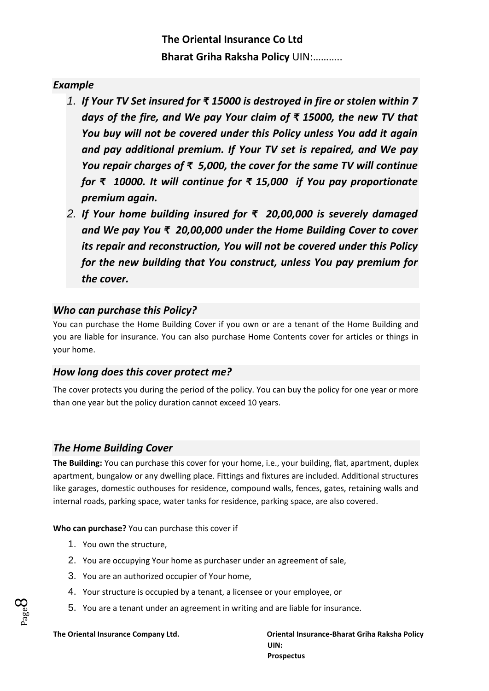### *Example*

- *1. If Your TV Set insured for ₹ 15000 is destroyed in fire or stolen within 7 days of the fire, and We pay Your claim of ₹ 15000, the new TV that You buy will not be covered under this Policy unless You add it again and pay additional premium. If Your TV set is repaired, and We pay You repair charges of ₹ 5,000, the cover for the same TV will continue for ₹ 10000. It will continue for ₹ 15,000 if You pay proportionate premium again.*
- *2. If Your home building insured for ₹ 20,00,000 is severely damaged and We pay You ₹ 20,00,000 under the Home Building Cover to cover its repair and reconstruction, You will not be covered under this Policy for the new building that You construct, unless You pay premium for the cover.*

## *Who can purchase this Policy?*

You can purchase the Home Building Cover if you own or are a tenant of the Home Building and you are liable for insurance. You can also purchase Home Contents cover for articles or things in your home.

## *How long does this cover protect me?*

The cover protects you during the period of the policy. You can buy the policy for one year or more than one year but the policy duration cannot exceed 10 years.

## *The Home Building Cover*

**The Building:** You can purchase this cover for your home, i.e., your building, flat, apartment, duplex apartment, bungalow or any dwelling place. Fittings and fixtures are included. Additional structures like garages, domestic outhouses for residence, compound walls, fences, gates, retaining walls and internal roads, parking space, water tanks for residence, parking space, are also covered.

### **Who can purchase?** You can purchase this cover if

- 1. You own the structure,
- 2. You are occupying Your home as purchaser under an agreement of sale,
- 3. You are an authorized occupier of Your home,
- 4. Your structure is occupied by a tenant, a licensee or your employee, or
- 5. You are a tenant under an agreement in writing and are liable for insurance.

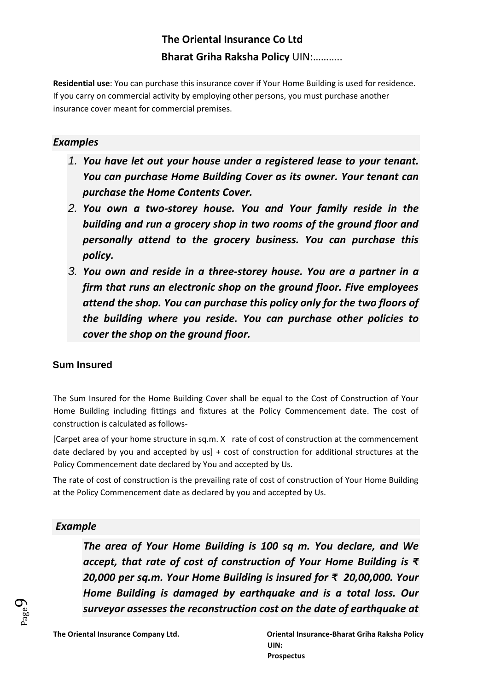**Residential use**: You can purchase this insurance cover if Your Home Building is used for residence. If you carry on commercial activity by employing other persons, you must purchase another insurance cover meant for commercial premises.

## *Examples*

- *1. You have let out your house under a registered lease to your tenant. You can purchase Home Building Cover as its owner. Your tenant can purchase the Home Contents Cover.*
- *2. You own a two-storey house. You and Your family reside in the building and run a grocery shop in two rooms of the ground floor and personally attend to the grocery business. You can purchase this policy.*
- *3. You own and reside in a three-storey house. You are a partner in a firm that runs an electronic shop on the ground floor. Five employees attend the shop. You can purchase this policy only for the two floors of the building where you reside. You can purchase other policies to cover the shop on the ground floor.*

## **Sum Insured**

The Sum Insured for the Home Building Cover shall be equal to the Cost of Construction of Your Home Building including fittings and fixtures at the Policy Commencement date. The cost of construction is calculated as follows-

[Carpet area of your home structure in sq.m. X rate of cost of construction at the commencement date declared by you and accepted by us] + cost of construction for additional structures at the Policy Commencement date declared by You and accepted by Us.

The rate of cost of construction is the prevailing rate of cost of construction of Your Home Building at the Policy Commencement date as declared by you and accepted by Us.

## *Example*

Page  $\sigma$ 

*The area of Your Home Building is 100 sq m. You declare, and We accept, that rate of cost of construction of Your Home Building is ₹ 20,000 per sq.m. Your Home Building is insured for ₹ 20,00,000. Your Home Building is damaged by earthquake and is a total loss. Our surveyor assesses the reconstruction cost on the date of earthquake at*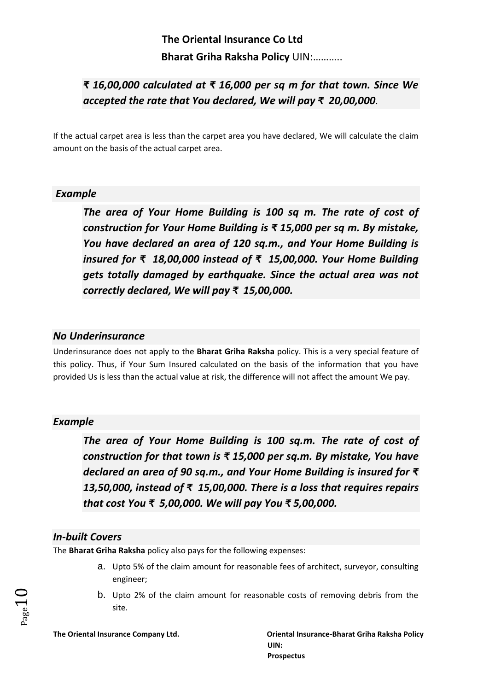## *₹ 16,00,000 calculated at ₹ 16,000 per sq m for that town. Since We accepted the rate that You declared, We will pay ₹ 20,00,000.*

If the actual carpet area is less than the carpet area you have declared, We will calculate the claim amount on the basis of the actual carpet area.

### *Example*

*The area of Your Home Building is 100 sq m. The rate of cost of construction for Your Home Building is ₹ 15,000 per sq m. By mistake, You have declared an area of 120 sq.m., and Your Home Building is insured for ₹ 18,00,000 instead of ₹ 15,00,000. Your Home Building gets totally damaged by earthquake. Since the actual area was not correctly declared, We will pay ₹ 15,00,000.* 

### *No Underinsurance*

Underinsurance does not apply to the **Bharat Griha Raksha** policy. This is a very special feature of this policy. Thus, if Your Sum Insured calculated on the basis of the information that you have provided Us is less than the actual value at risk, the difference will not affect the amount We pay.

### *Example*

*The area of Your Home Building is 100 sq.m. The rate of cost of construction for that town is ₹ 15,000 per sq.m. By mistake, You have declared an area of 90 sq.m., and Your Home Building is insured for ₹ 13,50,000, instead of ₹ 15,00,000. There is a loss that requires repairs that cost You ₹ 5,00,000. We will pay You ₹ 5,00,000.* 

### *In-built Covers*

The **Bharat Griha Raksha** policy also pays for the following expenses:

- a. Upto 5% of the claim amount for reasonable fees of architect, surveyor, consulting engineer;
- b. Upto 2% of the claim amount for reasonable costs of removing debris from the site.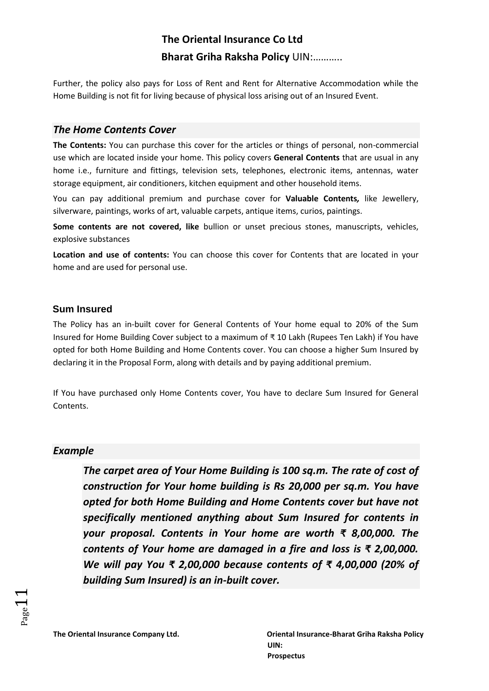Further, the policy also pays for Loss of Rent and Rent for Alternative Accommodation while the Home Building is not fit for living because of physical loss arising out of an Insured Event.

### *The Home Contents Cover*

**The Contents:** You can purchase this cover for the articles or things of personal, non-commercial use which are located inside your home. This policy covers **General Contents** that are usual in any home i.e., furniture and fittings, television sets, telephones, electronic items, antennas, water storage equipment, air conditioners, kitchen equipment and other household items.

You can pay additional premium and purchase cover for **Valuable Contents***,* like Jewellery, silverware, paintings, works of art, valuable carpets, antique items, curios, paintings.

**Some contents are not covered, like** bullion or unset precious stones, manuscripts, vehicles, explosive substances

**Location and use of contents:** You can choose this cover for Contents that are located in your home and are used for personal use.

### **Sum Insured**

The Policy has an in-built cover for General Contents of Your home equal to 20% of the Sum Insured for Home Building Cover subject to a maximum of ₹ 10 Lakh (Rupees Ten Lakh) if You have opted for both Home Building and Home Contents cover. You can choose a higher Sum Insured by declaring it in the Proposal Form, along with details and by paying additional premium.

If You have purchased only Home Contents cover, You have to declare Sum Insured for General Contents.

### *Example*

*The carpet area of Your Home Building is 100 sq.m. The rate of cost of construction for Your home building is Rs 20,000 per sq.m. You have opted for both Home Building and Home Contents cover but have not specifically mentioned anything about Sum Insured for contents in your proposal. Contents in Your home are worth ₹ 8,00,000. The contents of Your home are damaged in a fire and loss is ₹ 2,00,000. We will pay You ₹ 2,00,000 because contents of ₹ 4,00,000 (20% of building Sum Insured) is an in-built cover.*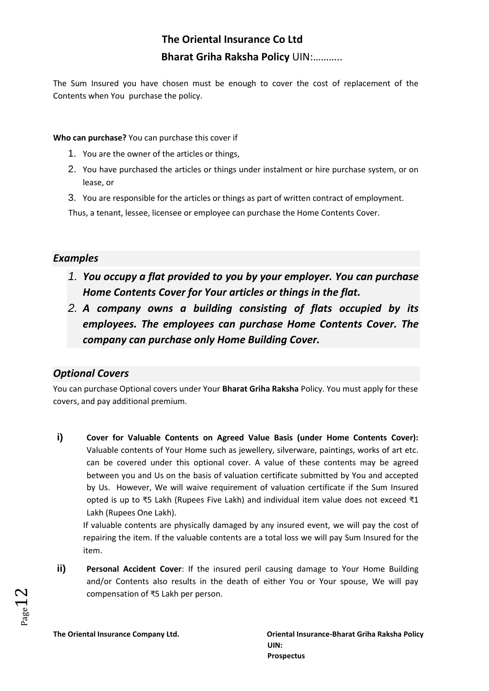The Sum Insured you have chosen must be enough to cover the cost of replacement of the Contents when You purchase the policy.

**Who can purchase?** You can purchase this cover if

- 1. You are the owner of the articles or things,
- 2. You have purchased the articles or things under instalment or hire purchase system, or on lease, or
- 3. You are responsible for the articles or things as part of written contract of employment.

Thus, a tenant, lessee, licensee or employee can purchase the Home Contents Cover.

## *Examples*

- *1. You occupy a flat provided to you by your employer. You can purchase Home Contents Cover for Your articles or things in the flat.*
- *2. A company owns a building consisting of flats occupied by its employees. The employees can purchase Home Contents Cover. The company can purchase only Home Building Cover.*

## *Optional Covers*

You can purchase Optional covers under Your **Bharat Griha Raksha** Policy. You must apply for these covers, and pay additional premium.

**i) Cover for Valuable Contents on Agreed Value Basis (under Home Contents Cover):**  Valuable contents of Your Home such as jewellery, silverware, paintings, works of art etc. can be covered under this optional cover. A value of these contents may be agreed between you and Us on the basis of valuation certificate submitted by You and accepted by Us. However, We will waive requirement of valuation certificate if the Sum Insured opted is up to ₹5 Lakh (Rupees Five Lakh) and individual item value does not exceed ₹1 Lakh (Rupees One Lakh).

If valuable contents are physically damaged by any insured event, we will pay the cost of repairing the item. If the valuable contents are a total loss we will pay Sum Insured for the item.

**ii) Personal Accident Cover**: If the insured peril causing damage to Your Home Building and/or Contents also results in the death of either You or Your spouse, We will pay compensation of ₹5 Lakh per person.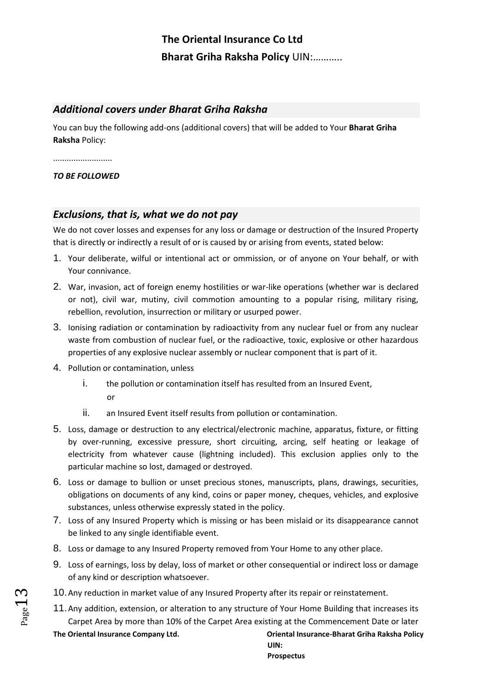## *Additional covers under Bharat Griha Raksha*

You can buy the following add-ons (additional covers) that will be added to Your **Bharat Griha Raksha** Policy:

..........................

#### *TO BE FOLLOWED*

### *Exclusions, that is, what we do not pay*

We do not cover losses and expenses for any loss or damage or destruction of the Insured Property that is directly or indirectly a result of or is caused by or arising from events, stated below:

- 1. Your deliberate, wilful or intentional act or ommission, or of anyone on Your behalf, or with Your connivance.
- 2. War, invasion, act of foreign enemy hostilities or war-like operations (whether war is declared or not), civil war, mutiny, civil commotion amounting to a popular rising, military rising, rebellion, revolution, insurrection or military or usurped power.
- 3. Ionising radiation or contamination by radioactivity from any nuclear fuel or from any nuclear waste from combustion of nuclear fuel, or the radioactive, toxic, explosive or other hazardous properties of any explosive nuclear assembly or nuclear component that is part of it.
- 4. Pollution or contamination, unless
	- i. the pollution or contamination itself has resulted from an Insured Event, or
	- ii. an Insured Event itself results from pollution or contamination.
- 5. Loss, damage or destruction to any electrical/electronic machine, apparatus, fixture, or fitting by over-running, excessive pressure, short circuiting, arcing, self heating or leakage of electricity from whatever cause (lightning included). This exclusion applies only to the particular machine so lost, damaged or destroyed.
- 6. Loss or damage to bullion or unset precious stones, manuscripts, plans, drawings, securities, obligations on documents of any kind, coins or paper money, cheques, vehicles, and explosive substances, unless otherwise expressly stated in the policy.
- 7. Loss of any Insured Property which is missing or has been mislaid or its disappearance cannot be linked to any single identifiable event.
- 8. Loss or damage to any Insured Property removed from Your Home to any other place.
- 9. Loss of earnings, loss by delay, loss of market or other consequential or indirect loss or damage of any kind or description whatsoever.
- 10.Any reduction in market value of any Insured Property after its repair or reinstatement.
- **The Oriental Insurance Company Ltd. Oriental Insurance-Bharat Griha Raksha Policy** 11.Any addition, extension, or alteration to any structure of Your Home Building that increases its Carpet Area by more than 10% of the Carpet Area existing at the Commencement Date or later

**UIN: Prospectus**

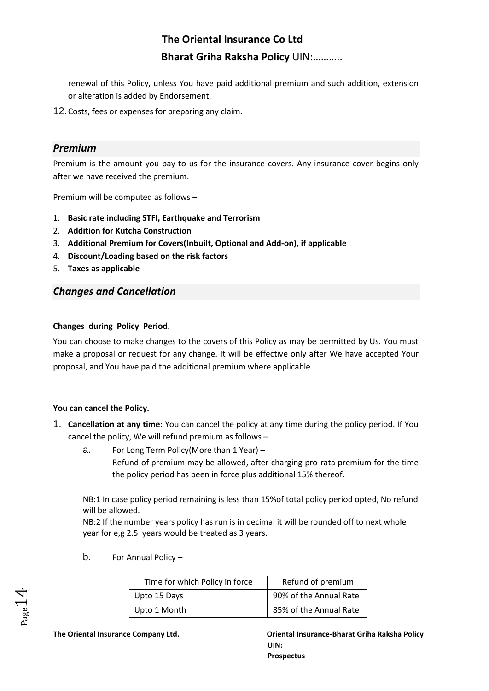renewal of this Policy, unless You have paid additional premium and such addition, extension or alteration is added by Endorsement.

12.Costs, fees or expenses for preparing any claim.

### *Premium*

Premium is the amount you pay to us for the insurance covers. Any insurance cover begins only after we have received the premium.

Premium will be computed as follows –

- 1. **Basic rate including STFI, Earthquake and Terrorism**
- 2. **Addition for Kutcha Construction**
- 3. **Additional Premium for Covers(Inbuilt, Optional and Add-on), if applicable**
- 4. **Discount/Loading based on the risk factors**
- 5. **Taxes as applicable**

## *Changes and Cancellation*

#### **Changes during Policy Period.**

You can choose to make changes to the covers of this Policy as may be permitted by Us. You must make a proposal or request for any change. It will be effective only after We have accepted Your proposal, and You have paid the additional premium where applicable

#### **You can cancel the Policy.**

- 1. **Cancellation at any time:** You can cancel the policy at any time during the policy period. If You cancel the policy, We will refund premium as follows –
	- a. For Long Term Policy(More than 1 Year) –

Refund of premium may be allowed, after charging pro-rata premium for the time the policy period has been in force plus additional 15% thereof.

NB:1 In case policy period remaining is less than 15%of total policy period opted, No refund will be allowed.

NB:2 If the number years policy has run is in decimal it will be rounded off to next whole year for e,g 2.5 years would be treated as 3 years.

b. For Annual Policy –

| Time for which Policy in force | Refund of premium      |
|--------------------------------|------------------------|
| Upto 15 Days                   | 90% of the Annual Rate |
| Upto 1 Month                   | 85% of the Annual Rate |

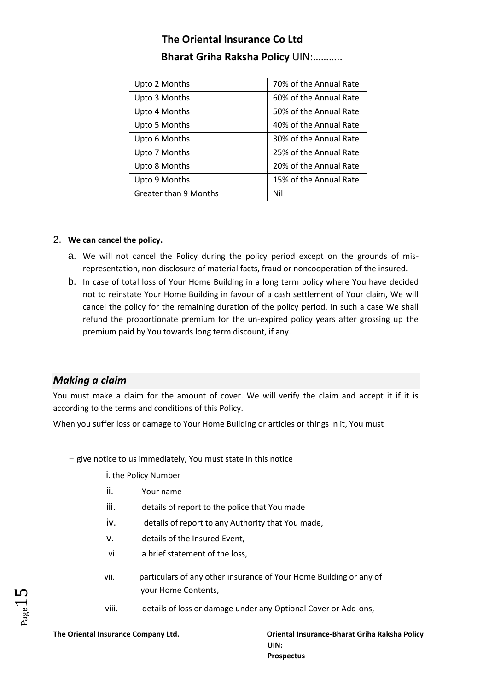## **The Oriental Insurance Co Ltd**

### **Bharat Griha Raksha Policy** UIN:………..

| Upto 2 Months         | 70% of the Annual Rate |
|-----------------------|------------------------|
| Upto 3 Months         | 60% of the Annual Rate |
| Upto 4 Months         | 50% of the Annual Rate |
| Upto 5 Months         | 40% of the Annual Rate |
| Upto 6 Months         | 30% of the Annual Rate |
| Upto 7 Months         | 25% of the Annual Rate |
| Upto 8 Months         | 20% of the Annual Rate |
| Upto 9 Months         | 15% of the Annual Rate |
| Greater than 9 Months | Nil                    |

#### 2. **We can cancel the policy.**

- a. We will not cancel the Policy during the policy period except on the grounds of misrepresentation, non-disclosure of material facts, fraud or noncooperation of the insured.
- b. In case of total loss of Your Home Building in a long term policy where You have decided not to reinstate Your Home Building in favour of a cash settlement of Your claim, We will cancel the policy for the remaining duration of the policy period. In such a case We shall refund the proportionate premium for the un-expired policy years after grossing up the premium paid by You towards long term discount, if any.

### *Making a claim*

You must make a claim for the amount of cover. We will verify the claim and accept it if it is according to the terms and conditions of this Policy.

When you suffer loss or damage to Your Home Building or articles or things in it, You must

- − give notice to us immediately, You must state in this notice
	- i. the Policy Number
	- ii. Your name
	- iii. details of report to the police that You made
	- iv. details of report to any Authority that You made,
	- v. details of the Insured Event,
	- vi. a brief statement of the loss,
	- vii. particulars of any other insurance of Your Home Building or any of your Home Contents,
	- viii. details of loss or damage under any Optional Cover or Add-ons,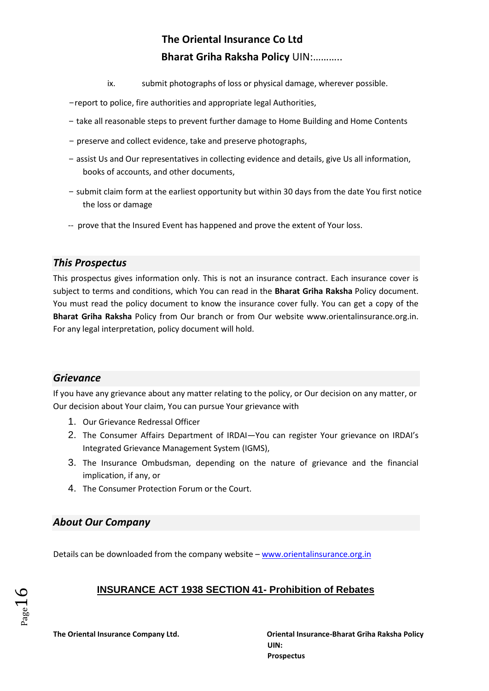- ix. submit photographs of loss or physical damage, wherever possible.
- −report to police, fire authorities and appropriate legal Authorities,
- − take all reasonable steps to prevent further damage to Home Building and Home Contents
- − preserve and collect evidence, take and preserve photographs,
- − assist Us and Our representatives in collecting evidence and details, give Us all information, books of accounts, and other documents,
- − submit claim form at the earliest opportunity but within 30 days from the date You first notice the loss or damage
- -- prove that the Insured Event has happened and prove the extent of Your loss.

### *This Prospectus*

This prospectus gives information only. This is not an insurance contract. Each insurance cover is subject to terms and conditions, which You can read in the **Bharat Griha Raksha** Policy document. You must read the policy document to know the insurance cover fully. You can get a copy of the **Bharat Griha Raksha** Policy from Our branch or from Our website www.orientalinsurance.org.in. For any legal interpretation, policy document will hold.

### *Grievance*

If you have any grievance about any matter relating to the policy, or Our decision on any matter, or Our decision about Your claim, You can pursue Your grievance with

- 1. Our Grievance Redressal Officer
- 2. The Consumer Affairs Department of IRDAI—You can register Your grievance on IRDAI's Integrated Grievance Management System (IGMS),
- 3. The Insurance Ombudsman, depending on the nature of grievance and the financial implication, if any, or
- 4. The Consumer Protection Forum or the Court.

### *About Our Company*

Details can be downloaded from the company website – [www.orientalinsurance.org.in](http://www.orientalinsurance.org.in/)

## **INSURANCE ACT 1938 SECTION 41- Prohibition of Rebates**